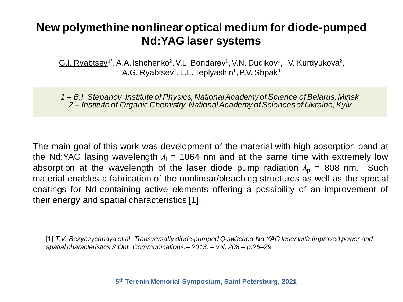## **New polymethine nonlinear optical medium for diode-pumped Nd:YAG laser systems**

G.I. Ryabtsev<sup>1\*</sup>, A.A. Ishchenko<sup>2</sup>, V.L. Bondarev<sup>1</sup>, V.N. Dudikov<sup>1</sup>, I.V. Kurdyukova<sup>2</sup>, A.G. Ryabtsev<sup>1</sup>, L.L. Teplyashin<sup>1</sup>, P.V. Shpak<sup>1</sup>

 *1 – B.I. Stepanov Institute of Physics, National Academy of Science of Belarus, Minsk 2 – Institute of Organic Chemistry, National Academy of Sciences of Ukraine, Kyiv*

The main goal of this work was development of the material with high absorption band at the Nd:YAG lasing wavelength  $\lambda_1 = 1064$  nm and at the same time with extremely low absorption at the wavelength of the laser diode pump radiation  $\lambda_p = 808$  nm. Such material enables a fabrication of the nonlinear/bleaching structures as well as the special coatings for Nd-containing active elements offering a possibility of an improvement of their energy and spatial characteristics [1].

[1] *T.V. Bezyazychnaya et.al. Transversally diode-pumped Q-switched Nd:YAG laser with improved power and spatial characteristics // Opt. Communications. – 2013. – vol. 208.– p.26–29.*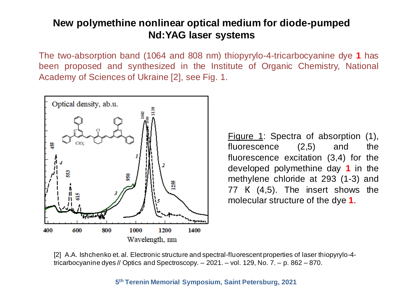## **New polymethine nonlinear optical medium for diode-pumped Nd:YAG laser systems**

The two-absorption band (1064 and 808 nm) thiopyrylo-4-tricarbocyanine dye **1** has been proposed and synthesized in the Institute of Organic Chemistry, National Academy of Sciences of Ukraine [2], see Fig. 1.



Figure 1: Spectra of absorption (1), fluorescence (2,5) and the fluorescence excitation (3,4) for the developed polymethine day **1** in the methylene chloride at 293 (1-3) and 77 К (4,5). The insert shows the molecular structure of the dye **1**.

[2] A.A. Ishchenko et. al. Electronic structure and spectral-fluorescent properties of laser thiopyrylo-4 tricarbocyanine dyes // Optics and Spectroscopy. – 2021. – vol. 129, No. 7. – p. 862 – 870.

**5 th Terenin Memorial Symposium, Saint Petersburg, 2021**